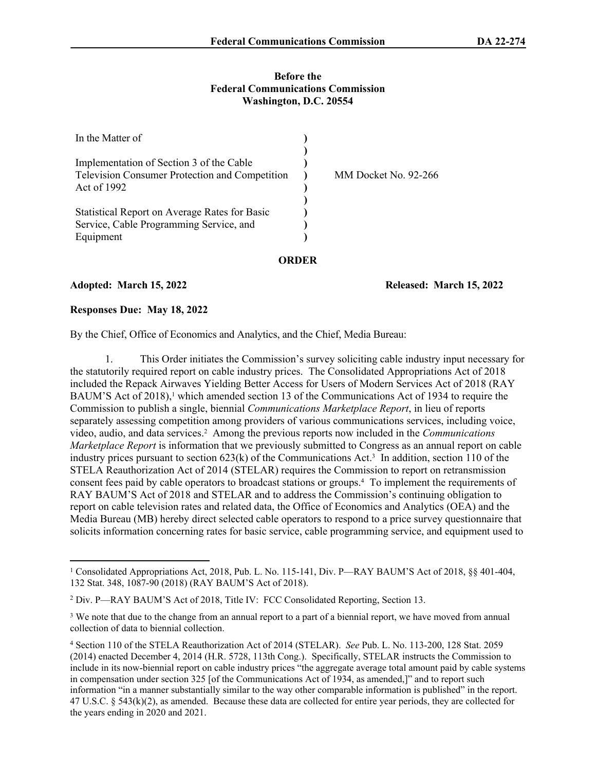#### **Before the Federal Communications Commission Washington, D.C. 20554**

| In the Matter of                               |                      |
|------------------------------------------------|----------------------|
| Implementation of Section 3 of the Cable       |                      |
| Television Consumer Protection and Competition | MM Docket No. 92-266 |
| Act of 1992                                    |                      |
| Statistical Report on Average Rates for Basic  |                      |
| Service, Cable Programming Service, and        |                      |
| Equipment                                      |                      |
|                                                |                      |

**Adopted: March 15, 2022 Released: March 15, 2022**

#### **Responses Due: May 18, 2022**

By the Chief, Office of Economics and Analytics, and the Chief, Media Bureau:

1. This Order initiates the Commission's survey soliciting cable industry input necessary for the statutorily required report on cable industry prices. The Consolidated Appropriations Act of 2018 included the Repack Airwaves Yielding Better Access for Users of Modern Services Act of 2018 (RAY BAUM'S Act of 2018),<sup>1</sup> which amended section 13 of the Communications Act of 1934 to require the Commission to publish a single, biennial *Communications Marketplace Report*, in lieu of reports separately assessing competition among providers of various communications services, including voice, video, audio, and data services.<sup>2</sup> Among the previous reports now included in the *Communications Marketplace Report* is information that we previously submitted to Congress as an annual report on cable industry prices pursuant to section 623(k) of the Communications Act.<sup>3</sup> In addition, section 110 of the STELA Reauthorization Act of 2014 (STELAR) requires the Commission to report on retransmission consent fees paid by cable operators to broadcast stations or groups.<sup>4</sup> To implement the requirements of RAY BAUM'S Act of 2018 and STELAR and to address the Commission's continuing obligation to report on cable television rates and related data, the Office of Economics and Analytics (OEA) and the Media Bureau (MB) hereby direct selected cable operators to respond to a price survey questionnaire that solicits information concerning rates for basic service, cable programming service, and equipment used to

<sup>1</sup> Consolidated Appropriations Act, 2018, Pub. L. No. 115-141, Div. P—RAY BAUM'S Act of 2018, §§ 401-404, 132 Stat. 348, 1087-90 (2018) (RAY BAUM'S Act of 2018).

<sup>&</sup>lt;sup>2</sup> Div. P—RAY BAUM'S Act of 2018, Title IV: FCC Consolidated Reporting, Section 13.

<sup>&</sup>lt;sup>3</sup> We note that due to the change from an annual report to a part of a biennial report, we have moved from annual collection of data to biennial collection.

<sup>4</sup> Section 110 of the STELA Reauthorization Act of 2014 (STELAR). *See* Pub. L. No. 113-200, 128 Stat. 2059 (2014) enacted December 4, 2014 (H.R. 5728, 113th Cong.). Specifically, STELAR instructs the Commission to include in its now-biennial report on cable industry prices "the aggregate average total amount paid by cable systems in compensation under section 325 [of the Communications Act of 1934, as amended,]" and to report such information "in a manner substantially similar to the way other comparable information is published" in the report. 47 U.S.C. § 543(k)(2), as amended. Because these data are collected for entire year periods, they are collected for the years ending in 2020 and 2021.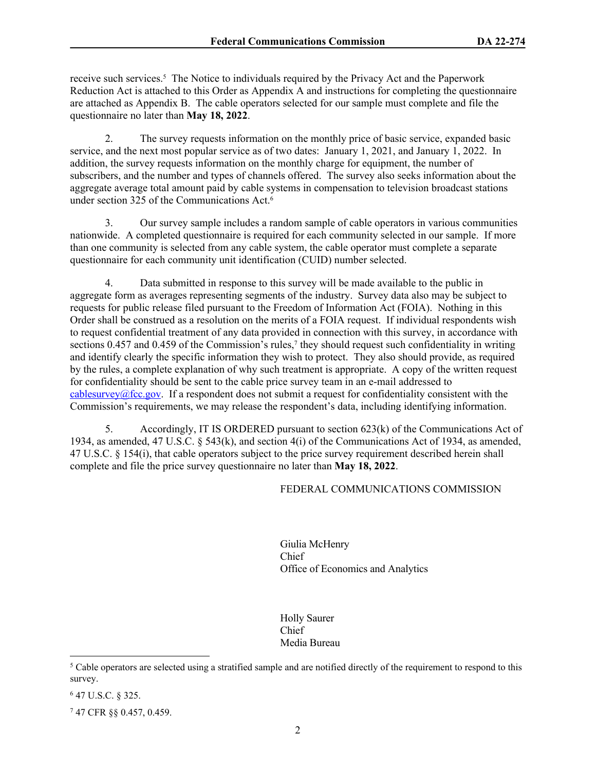receive such services.<sup>5</sup> The Notice to individuals required by the Privacy Act and the Paperwork Reduction Act is attached to this Order as Appendix A and instructions for completing the questionnaire are attached as Appendix B. The cable operators selected for our sample must complete and file the questionnaire no later than **May 18, 2022**.

2. The survey requests information on the monthly price of basic service, expanded basic service, and the next most popular service as of two dates: January 1, 2021, and January 1, 2022. In addition, the survey requests information on the monthly charge for equipment, the number of subscribers, and the number and types of channels offered. The survey also seeks information about the aggregate average total amount paid by cable systems in compensation to television broadcast stations under section 325 of the Communications Act.<sup>6</sup>

3. Our survey sample includes a random sample of cable operators in various communities nationwide. A completed questionnaire is required for each community selected in our sample. If more than one community is selected from any cable system, the cable operator must complete a separate questionnaire for each community unit identification (CUID) number selected.

4. Data submitted in response to this survey will be made available to the public in aggregate form as averages representing segments of the industry. Survey data also may be subject to requests for public release filed pursuant to the Freedom of Information Act (FOIA). Nothing in this Order shall be construed as a resolution on the merits of a FOIA request. If individual respondents wish to request confidential treatment of any data provided in connection with this survey, in accordance with sections 0.457 and 0.459 of the Commission's rules,<sup>7</sup> they should request such confidentiality in writing and identify clearly the specific information they wish to protect. They also should provide, as required by the rules, a complete explanation of why such treatment is appropriate. A copy of the written request for confidentiality should be sent to the cable price survey team in an e-mail addressed to [cablesurvey@fcc.gov](mailto:cablesurvey@fcc.gov). If a respondent does not submit a request for confidentiality consistent with the Commission's requirements, we may release the respondent's data, including identifying information.

5. Accordingly, IT IS ORDERED pursuant to section 623(k) of the Communications Act of 1934, as amended, 47 U.S.C. § 543(k), and section 4(i) of the Communications Act of 1934, as amended, 47 U.S.C. § 154(i), that cable operators subject to the price survey requirement described herein shall complete and file the price survey questionnaire no later than **May 18, 2022**.

## FEDERAL COMMUNICATIONS COMMISSION

Giulia McHenry Chief Office of Economics and Analytics

Holly Saurer Chief Media Bureau

6 47 U.S.C. § 325.

7 47 CFR §§ 0.457, 0.459.

 $5$  Cable operators are selected using a stratified sample and are notified directly of the requirement to respond to this survey.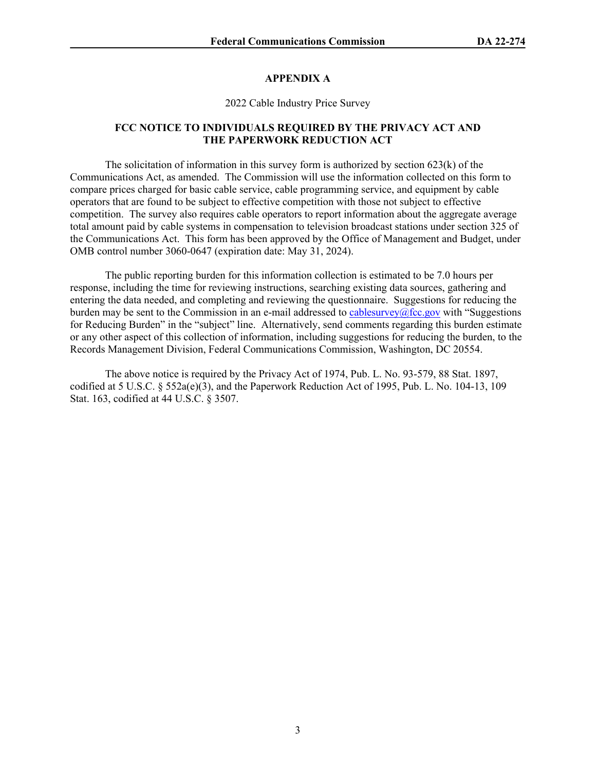## **APPENDIX A**

2022 Cable Industry Price Survey

#### **FCC NOTICE TO INDIVIDUALS REQUIRED BY THE PRIVACY ACT AND THE PAPERWORK REDUCTION ACT**

The solicitation of information in this survey form is authorized by section 623(k) of the Communications Act, as amended. The Commission will use the information collected on this form to compare prices charged for basic cable service, cable programming service, and equipment by cable operators that are found to be subject to effective competition with those not subject to effective competition. The survey also requires cable operators to report information about the aggregate average total amount paid by cable systems in compensation to television broadcast stations under section 325 of the Communications Act. This form has been approved by the Office of Management and Budget, under OMB control number 3060-0647 (expiration date: May 31, 2024).

The public reporting burden for this information collection is estimated to be 7.0 hours per response, including the time for reviewing instructions, searching existing data sources, gathering and entering the data needed, and completing and reviewing the questionnaire. Suggestions for reducing the burden may be sent to the Commission in an e-mail addressed to [cablesurvey@fcc.gov](mailto:cablesurvey@fcc.gov) with "Suggestions" for Reducing Burden" in the "subject" line. Alternatively, send comments regarding this burden estimate or any other aspect of this collection of information, including suggestions for reducing the burden, to the Records Management Division, Federal Communications Commission, Washington, DC 20554.

The above notice is required by the Privacy Act of 1974, Pub. L. No. 93-579, 88 Stat. 1897, codified at 5 U.S.C.  $\S 552a(e)(3)$ , and the Paperwork Reduction Act of 1995, Pub. L. No. 104-13, 109 Stat. 163, codified at 44 U.S.C. § 3507.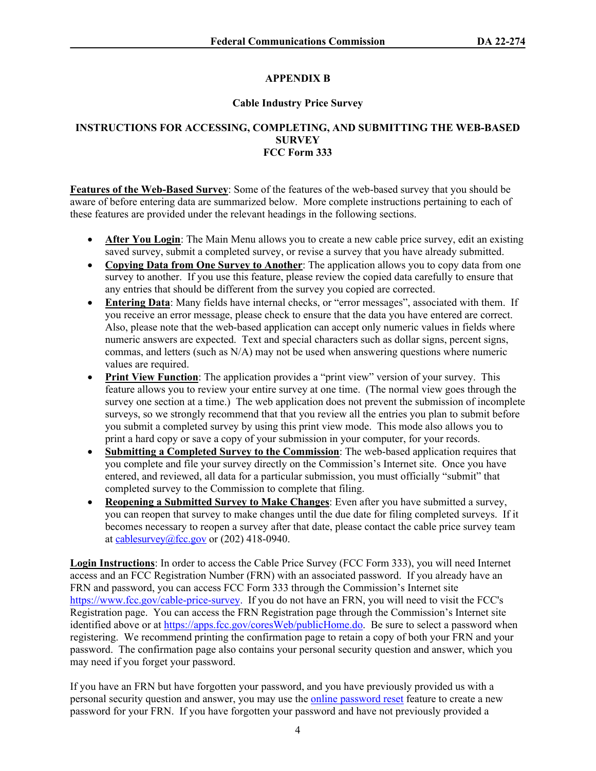# **APPENDIX B**

### **Cable Industry Price Survey**

## **INSTRUCTIONS FOR ACCESSING, COMPLETING, AND SUBMITTING THE WEB-BASED SURVEY FCC Form 333**

**Features of the Web-Based Survey**: Some of the features of the web-based survey that you should be aware of before entering data are summarized below. More complete instructions pertaining to each of these features are provided under the relevant headings in the following sections.

- **After You Login**: The Main Menu allows you to create a new cable price survey, edit an existing saved survey, submit a completed survey, or revise a survey that you have already submitted.
- **Copying Data from One Survey to Another**: The application allows you to copy data from one survey to another. If you use this feature, please review the copied data carefully to ensure that any entries that should be different from the survey you copied are corrected.
- **Entering Data**: Many fields have internal checks, or "error messages", associated with them. If you receive an error message, please check to ensure that the data you have entered are correct. Also, please note that the web-based application can accept only numeric values in fields where numeric answers are expected. Text and special characters such as dollar signs, percent signs, commas, and letters (such as N/A) may not be used when answering questions where numeric values are required.
- **Print View Function**: The application provides a "print view" version of your survey. This feature allows you to review your entire survey at one time. (The normal view goes through the survey one section at a time.) The web application does not prevent the submission of incomplete surveys, so we strongly recommend that that you review all the entries you plan to submit before you submit a completed survey by using this print view mode. This mode also allows you to print a hard copy or save a copy of your submission in your computer, for your records.
- **Submitting a Completed Survey to the Commission**: The web-based application requires that you complete and file your survey directly on the Commission's Internet site. Once you have entered, and reviewed, all data for a particular submission, you must officially "submit" that completed survey to the Commission to complete that filing.
- **Reopening a Submitted Survey to Make Changes**: Even after you have submitted a survey, you can reopen that survey to make changes until the due date for filing completed surveys. If it becomes necessary to reopen a survey after that date, please contact the cable price survey team at [cablesurvey@fcc.gov](mailto:cablesurvey@fcc.gov) or  $(202)$  418-0940.

**Login Instructions**: In order to access the Cable Price Survey (FCC Form 333), you will need Internet access and an FCC Registration Number (FRN) with an associated password. If you already have an FRN and password, you can access FCC Form 333 through the Commission's Internet site [https://www.fcc.gov/cable-price-survey.](https://www.fcc.gov/cable-price-survey) If you do not have an FRN, you will need to visit the FCC's Registration page. You can access the FRN Registration page through the Commission's Internet site identified above or at [https://apps.fcc.gov/coresWeb/publicHome.do.](https://apps.fcc.gov/coresWeb/publicHome.do) Be sure to select a password when registering. We recommend printing the confirmation page to retain a copy of both your FRN and your password. The confirmation page also contains your personal security question and answer, which you may need if you forget your password.

If you have an FRN but have forgotten your password, and you have previously provided us with a personal security question and answer, you may use the [online password reset](https://apps.fcc.gov/coresWeb/enterFrnForPwdReset.do) feature to create a new password for your FRN. If you have forgotten your password and have not previously provided a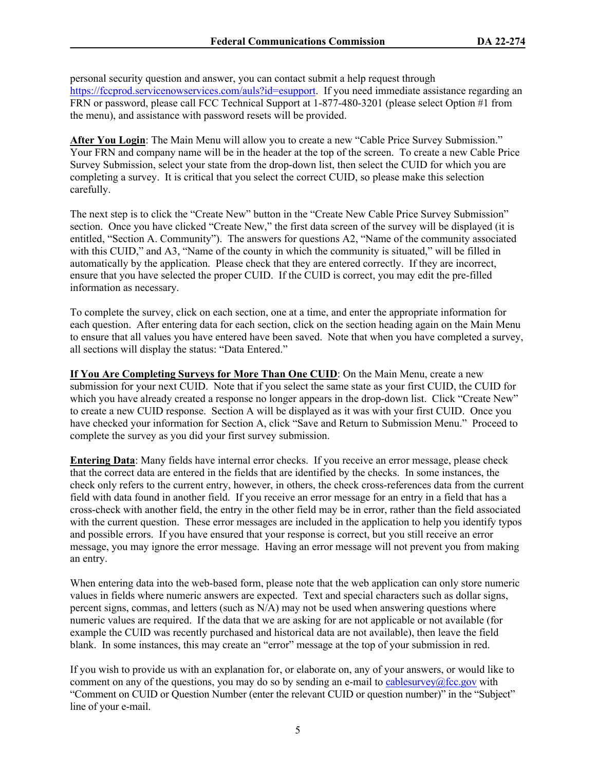personal security question and answer, you can contact submit a help request through <https://fccprod.servicenowservices.com/auls?id=esupport>. If you need immediate assistance regarding an FRN or password, please call FCC Technical Support at 1-877-480-3201 (please select Option #1 from the menu), and assistance with password resets will be provided.

After You Login: The Main Menu will allow you to create a new "Cable Price Survey Submission." Your FRN and company name will be in the header at the top of the screen. To create a new Cable Price Survey Submission, select your state from the drop-down list, then select the CUID for which you are completing a survey. It is critical that you select the correct CUID, so please make this selection carefully.

The next step is to click the "Create New" button in the "Create New Cable Price Survey Submission" section. Once you have clicked "Create New," the first data screen of the survey will be displayed (it is entitled, "Section A. Community"). The answers for questions A2, "Name of the community associated with this CUID," and A3, "Name of the county in which the community is situated," will be filled in automatically by the application. Please check that they are entered correctly. If they are incorrect, ensure that you have selected the proper CUID. If the CUID is correct, you may edit the pre-filled information as necessary.

To complete the survey, click on each section, one at a time, and enter the appropriate information for each question. After entering data for each section, click on the section heading again on the Main Menu to ensure that all values you have entered have been saved. Note that when you have completed a survey, all sections will display the status: "Data Entered."

**If You Are Completing Surveys for More Than One CUID**: On the Main Menu, create a new submission for your next CUID. Note that if you select the same state as your first CUID, the CUID for which you have already created a response no longer appears in the drop-down list. Click "Create New" to create a new CUID response. Section A will be displayed as it was with your first CUID. Once you have checked your information for Section A, click "Save and Return to Submission Menu." Proceed to complete the survey as you did your first survey submission.

**Entering Data**: Many fields have internal error checks. If you receive an error message, please check that the correct data are entered in the fields that are identified by the checks. In some instances, the check only refers to the current entry, however, in others, the check cross-references data from the current field with data found in another field. If you receive an error message for an entry in a field that has a cross-check with another field, the entry in the other field may be in error, rather than the field associated with the current question. These error messages are included in the application to help you identify typos and possible errors. If you have ensured that your response is correct, but you still receive an error message, you may ignore the error message. Having an error message will not prevent you from making an entry.

When entering data into the web-based form, please note that the web application can only store numeric values in fields where numeric answers are expected. Text and special characters such as dollar signs, percent signs, commas, and letters (such as N/A) may not be used when answering questions where numeric values are required. If the data that we are asking for are not applicable or not available (for example the CUID was recently purchased and historical data are not available), then leave the field blank. In some instances, this may create an "error" message at the top of your submission in red.

If you wish to provide us with an explanation for, or elaborate on, any of your answers, or would like to comment on any of the questions, you may do so by sending an e-mail to cablesurvey $@$ fcc.gov with "Comment on CUID or Question Number (enter the relevant CUID or question number)" in the "Subject" line of your e-mail.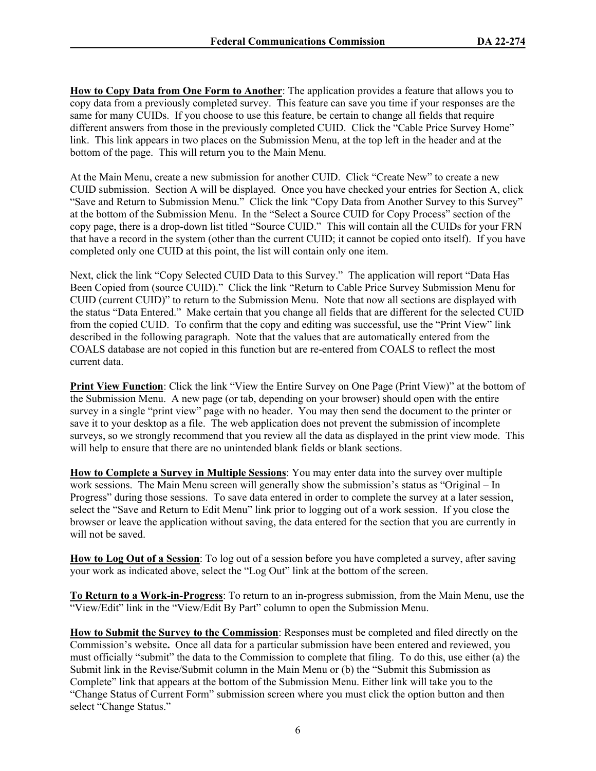**How to Copy Data from One Form to Another**: The application provides a feature that allows you to copy data from a previously completed survey. This feature can save you time if your responses are the same for many CUIDs. If you choose to use this feature, be certain to change all fields that require different answers from those in the previously completed CUID. Click the "Cable Price Survey Home" link. This link appears in two places on the Submission Menu, at the top left in the header and at the bottom of the page. This will return you to the Main Menu.

At the Main Menu, create a new submission for another CUID. Click "Create New" to create a new CUID submission. Section A will be displayed. Once you have checked your entries for Section A, click "Save and Return to Submission Menu." Click the link "Copy Data from Another Survey to this Survey" at the bottom of the Submission Menu. In the "Select a Source CUID for Copy Process" section of the copy page, there is a drop-down list titled "Source CUID." This will contain all the CUIDs for your FRN that have a record in the system (other than the current CUID; it cannot be copied onto itself). If you have completed only one CUID at this point, the list will contain only one item.

Next, click the link "Copy Selected CUID Data to this Survey." The application will report "Data Has Been Copied from (source CUID)." Click the link "Return to Cable Price Survey Submission Menu for CUID (current CUID)" to return to the Submission Menu. Note that now all sections are displayed with the status "Data Entered." Make certain that you change all fields that are different for the selected CUID from the copied CUID. To confirm that the copy and editing was successful, use the "Print View" link described in the following paragraph. Note that the values that are automatically entered from the COALS database are not copied in this function but are re-entered from COALS to reflect the most current data.

**Print View Function**: Click the link "View the Entire Survey on One Page (Print View)" at the bottom of the Submission Menu. A new page (or tab, depending on your browser) should open with the entire survey in a single "print view" page with no header. You may then send the document to the printer or save it to your desktop as a file. The web application does not prevent the submission of incomplete surveys, so we strongly recommend that you review all the data as displayed in the print view mode. This will help to ensure that there are no unintended blank fields or blank sections.

**How to Complete a Survey in Multiple Sessions**: You may enter data into the survey over multiple work sessions. The Main Menu screen will generally show the submission's status as "Original – In Progress" during those sessions. To save data entered in order to complete the survey at a later session, select the "Save and Return to Edit Menu" link prior to logging out of a work session. If you close the browser or leave the application without saving, the data entered for the section that you are currently in will not be saved.

**How to Log Out of a Session**: To log out of a session before you have completed a survey, after saving your work as indicated above, select the "Log Out" link at the bottom of the screen.

**To Return to a Work-in-Progress**: To return to an in-progress submission, from the Main Menu, use the "View/Edit" link in the "View/Edit By Part" column to open the Submission Menu.

**How to Submit the Survey to the Commission**: Responses must be completed and filed directly on the Commission's website**.** Once all data for a particular submission have been entered and reviewed, you must officially "submit" the data to the Commission to complete that filing. To do this, use either (a) the Submit link in the Revise/Submit column in the Main Menu or (b) the "Submit this Submission as Complete" link that appears at the bottom of the Submission Menu. Either link will take you to the "Change Status of Current Form" submission screen where you must click the option button and then select "Change Status."